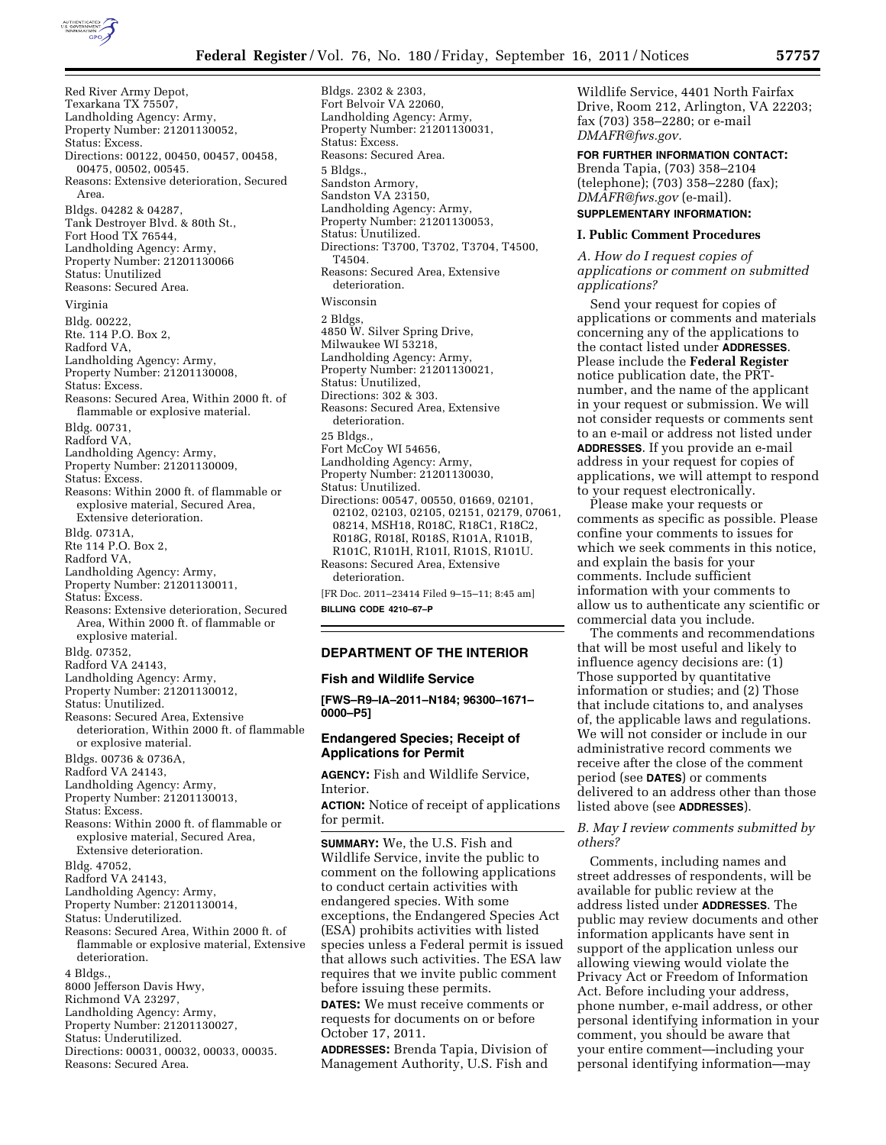

Bldgs. 2302 & 2303,

Red River Army Depot, Texarkana TX 75507, Landholding Agency: Army, Property Number: 21201130052, Status: Excess. Directions: 00122, 00450, 00457, 00458, 00475, 00502, 00545. Reasons: Extensive deterioration, Secured Area. Bldgs. 04282 & 04287, Tank Destroyer Blvd. & 80th St., Fort Hood TX 76544, Landholding Agency: Army, Property Number: 21201130066 Status: Unutilized Reasons: Secured Area. Virginia Bldg. 00222, Rte. 114 P.O. Box 2, Radford VA, Landholding Agency: Army, Property Number: 21201130008, Status: Excess. Reasons: Secured Area, Within 2000 ft. of flammable or explosive material. Bldg. 00731, Radford VA, Landholding Agency: Army, Property Number: 21201130009, Status: Excess. Reasons: Within 2000 ft. of flammable or explosive material, Secured Area, Extensive deterioration. Bldg. 0731A, Rte 114 P.O. Box 2, Radford VA, Landholding Agency: Army, Property Number: 21201130011, Status: Excess. Reasons: Extensive deterioration, Secured Area, Within 2000 ft. of flammable or explosive material. Bldg. 07352, Radford VA 24143, Landholding Agency: Army, Property Number: 21201130012, Status: Unutilized. Reasons: Secured Area, Extensive deterioration, Within 2000 ft. of flammable or explosive material. Bldgs. 00736 & 0736A, Radford VA 24143, Landholding Agency: Army, Property Number: 21201130013, Status: Excess. Reasons: Within 2000 ft. of flammable or explosive material, Secured Area, Extensive deterioration. Bldg. 47052, Radford VA 24143, Landholding Agency: Army, Property Number: 21201130014, Status: Underutilized. Reasons: Secured Area, Within 2000 ft. of flammable or explosive material, Extensive deterioration. 4 Bldgs., 8000 Jefferson Davis Hwy, Richmond VA 23297, Landholding Agency: Army, Property Number: 21201130027, Status: Underutilized. Directions: 00031, 00032, 00033, 00035. Reasons: Secured Area.

Fort Belvoir VA 22060, Landholding Agency: Army, Property Number: 21201130031, Status: Excess. Reasons: Secured Area. 5 Bldgs., Sandston Armory, Sandston VA 23150, Landholding Agency: Army, Property Number: 21201130053, Status: Unutilized. Directions: T3700, T3702, T3704, T4500, T4504. Reasons: Secured Area, Extensive deterioration. Wisconsin 2 Bldgs, 4850 W. Silver Spring Drive, Milwaukee WI 53218, Landholding Agency: Army, Property Number: 21201130021, Status: Unutilized, Directions: 302 & 303. Reasons: Secured Area, Extensive deterioration. 25 Bldgs., Fort McCoy WI 54656, Landholding Agency: Army, Property Number: 21201130030, Status: Unutilized. Directions: 00547, 00550, 01669, 02101, 02102, 02103, 02105, 02151, 02179, 07061, 08214, MSH18, R018C, R18C1, R18C2, R018G, R018I, R018S, R101A, R101B, R101C, R101H, R101I, R101S, R101U. Reasons: Secured Area, Extensive deterioration. [FR Doc. 2011–23414 Filed 9–15–11; 8:45 am]

**BILLING CODE 4210–67–P** 

# **DEPARTMENT OF THE INTERIOR**

#### **Fish and Wildlife Service**

**[FWS–R9–IA–2011–N184; 96300–1671– 0000–P5]** 

# **Endangered Species; Receipt of Applications for Permit**

**AGENCY:** Fish and Wildlife Service, Interior.

**ACTION:** Notice of receipt of applications for permit.

**SUMMARY:** We, the U.S. Fish and Wildlife Service, invite the public to comment on the following applications to conduct certain activities with endangered species. With some exceptions, the Endangered Species Act (ESA) prohibits activities with listed species unless a Federal permit is issued that allows such activities. The ESA law requires that we invite public comment before issuing these permits.

**DATES:** We must receive comments or requests for documents on or before October 17, 2011.

**ADDRESSES:** Brenda Tapia, Division of Management Authority, U.S. Fish and

Wildlife Service, 4401 North Fairfax Drive, Room 212, Arlington, VA 22203; fax (703) 358–2280; or e-mail *[DMAFR@fws.gov.](mailto:DMAFR@fws.gov)* 

**FOR FURTHER INFORMATION CONTACT:** 

Brenda Tapia, (703) 358–2104 (telephone); (703) 358–2280 (fax); *[DMAFR@fws.gov](mailto:DMAFR@fws.gov)* (e-mail). **SUPPLEMENTARY INFORMATION:** 

## **I. Public Comment Procedures**

*A. How do I request copies of applications or comment on submitted applications?* 

Send your request for copies of applications or comments and materials concerning any of the applications to the contact listed under **ADDRESSES**. Please include the **Federal Register**  notice publication date, the PRTnumber, and the name of the applicant in your request or submission. We will not consider requests or comments sent to an e-mail or address not listed under **ADDRESSES**. If you provide an e-mail address in your request for copies of applications, we will attempt to respond to your request electronically.

Please make your requests or comments as specific as possible. Please confine your comments to issues for which we seek comments in this notice, and explain the basis for your comments. Include sufficient information with your comments to allow us to authenticate any scientific or commercial data you include.

The comments and recommendations that will be most useful and likely to influence agency decisions are: (1) Those supported by quantitative information or studies; and (2) Those that include citations to, and analyses of, the applicable laws and regulations. We will not consider or include in our administrative record comments we receive after the close of the comment period (see **DATES**) or comments delivered to an address other than those listed above (see **ADDRESSES**).

## *B. May I review comments submitted by others?*

Comments, including names and street addresses of respondents, will be available for public review at the address listed under **ADDRESSES**. The public may review documents and other information applicants have sent in support of the application unless our allowing viewing would violate the Privacy Act or Freedom of Information Act. Before including your address, phone number, e-mail address, or other personal identifying information in your comment, you should be aware that your entire comment—including your personal identifying information—may